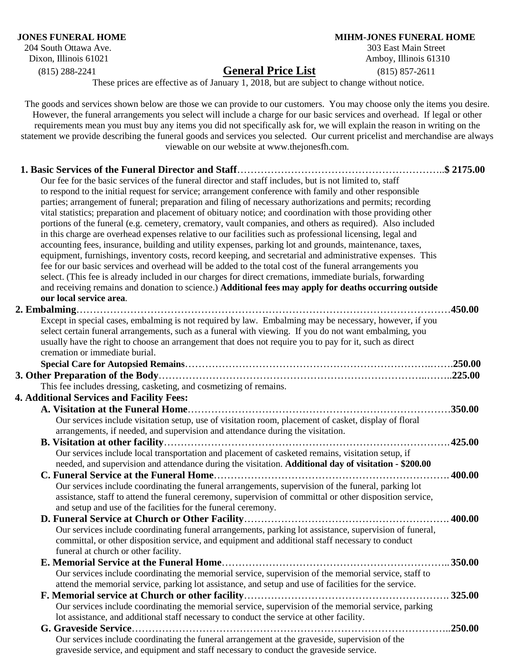204 South Ottawa Ave. Dixon, Illinois 61021 Amboy, Illinois 61310

## **JONES FUNERAL HOME**<br>204 South Ottawa Ave. 204 South Ottawa Ave.

(815) 288-2241 **General Price List** (815) 857-2611

These prices are effective as of January 1, 2018, but are subject to change without notice.

The goods and services shown below are those we can provide to our customers. You may choose only the items you desire.

However, the funeral arrangements you select will include a charge for our basic services and overhead. If legal or other requirements mean you must buy any items you did not specifically ask for, we will explain the reason in writing on the statement we provide describing the funeral goods and services you selected. Our current pricelist and merchandise are always viewable on our website at www.thejonesfh.com. **1. Basic Services of the Funeral Director and Staff**……………………………………………………..**\$ 2175.00** Our fee for the basic services of the funeral director and staff includes, but is not limited to, staff to respond to the initial request for service; arrangement conference with family and other responsible parties; arrangement of funeral; preparation and filing of necessary authorizations and permits; recording vital statistics; preparation and placement of obituary notice; and coordination with those providing other portions of the funeral (e.g. cemetery, crematory, vault companies, and others as required). Also included in this charge are overhead expenses relative to our facilities such as professional licensing, legal and accounting fees, insurance, building and utility expenses, parking lot and grounds, maintenance, taxes, equipment, furnishings, inventory costs, record keeping, and secretarial and administrative expenses. This fee for our basic services and overhead will be added to the total cost of the funeral arrangements you select. (This fee is already included in our charges for direct cremations, immediate burials, forwarding and receiving remains and donation to science.) **Additional fees may apply for deaths occurring outside our local service area**.  **2. Embalming**…………………………………………………………………………………………………**450.00** Except in special cases, embalming is not required by law. Embalming may be necessary, however, if you select certain funeral arrangements, such as a funeral with viewing. If you do not want embalming, you usually have the right to choose an arrangement that does not require you to pay for it, such as direct cremation or immediate burial. **Special Care for Autopsied Remains**……………………………………………………………….…….**250.00 3. Other Preparation of the Body**……………………………………………………………………..……..**225.00** This fee includes dressing, casketing, and cosmetizing of remains. **4. Additional Services and Facility Fees: A. Visitation at the Funeral Home**……………………………………………………………………**350.00** Our services include visitation setup, use of visitation room, placement of casket, display of floral arrangements, if needed, and supervision and attendance during the visitation. **B. Visitation at other facility**………………………………………………………………………….**425.00** Our services include local transportation and placement of casketed remains, visitation setup, if needed, and supervision and attendance during the visitation. **Additional day of visitation - \$200.00 C. Funeral Service at the Funeral Home**……………………………………………………………. **400.00** Our services include coordinating the funeral arrangements, supervision of the funeral, parking lot assistance, staff to attend the funeral ceremony, supervision of committal or other disposition service, and setup and use of the facilities for the funeral ceremony. **D. Funeral Service at Church or Other Facility**……………………………………………………. **400.00** Our services include coordinating funeral arrangements, parking lot assistance, supervision of funeral, committal, or other disposition service, and equipment and additional staff necessary to conduct funeral at church or other facility. **E. Memorial Service at the Funeral Home**………………………………………………………….. **350.00** Our services include coordinating the memorial service, supervision of the memorial service, staff to attend the memorial service, parking lot assistance, and setup and use of facilities for the service. **F. Memorial service at Church or other facility**……………………………………………………. **325.00** Our services include coordinating the memorial service, supervision of the memorial service, parking lot assistance, and additional staff necessary to conduct the service at other facility. **G. Graveside Service**…………………………………………………………………………………..**250.00** Our services include coordinating the funeral arrangement at the graveside, supervision of the

graveside service, and equipment and staff necessary to conduct the graveside service.